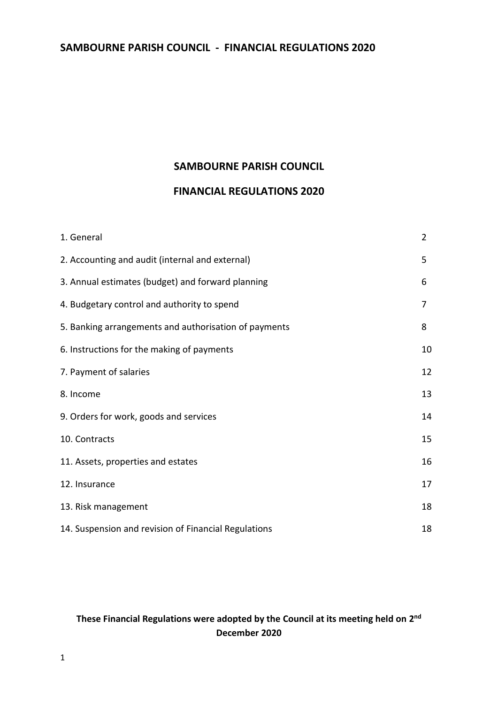#### **SAMBOURNE PARISH COUNCIL**

## **FINANCIAL REGULATIONS 2020**

| 1. General                                            | $\overline{2}$ |
|-------------------------------------------------------|----------------|
| 2. Accounting and audit (internal and external)       | 5              |
| 3. Annual estimates (budget) and forward planning     | 6              |
| 4. Budgetary control and authority to spend           | 7              |
| 5. Banking arrangements and authorisation of payments | 8              |
| 6. Instructions for the making of payments            | 10             |
| 7. Payment of salaries                                | 12             |
| 8. Income                                             | 13             |
| 9. Orders for work, goods and services                | 14             |
| 10. Contracts                                         | 15             |
| 11. Assets, properties and estates                    | 16             |
| 12. Insurance                                         | 17             |
| 13. Risk management                                   | 18             |
| 14. Suspension and revision of Financial Regulations  | 18             |

### These Financial Regulations were adopted by the Council at its meeting held on 2<sup>nd</sup> **December 2020**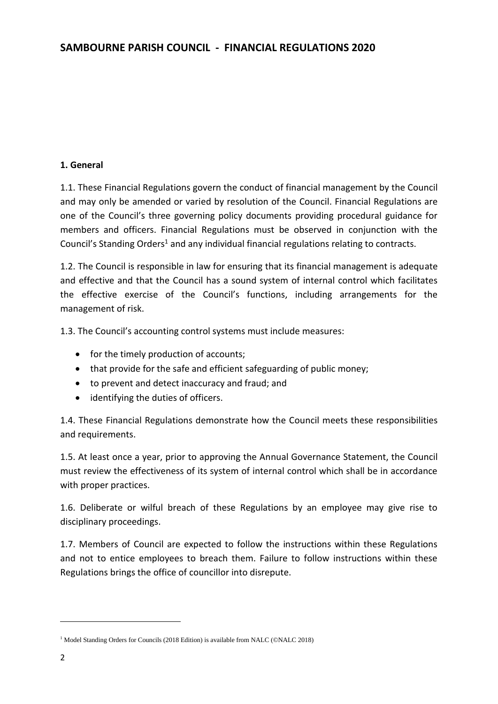### **1. General**

1.1. These Financial Regulations govern the conduct of financial management by the Council and may only be amended or varied by resolution of the Council. Financial Regulations are one of the Council's three governing policy documents providing procedural guidance for members and officers. Financial Regulations must be observed in conjunction with the Council's Standing Orders<sup>1</sup> and any individual financial regulations relating to contracts.

1.2. The Council is responsible in law for ensuring that its financial management is adequate and effective and that the Council has a sound system of internal control which facilitates the effective exercise of the Council's functions, including arrangements for the management of risk.

1.3. The Council's accounting control systems must include measures:

- for the timely production of accounts;
- that provide for the safe and efficient safeguarding of public money;
- to prevent and detect inaccuracy and fraud; and
- identifying the duties of officers.

1.4. These Financial Regulations demonstrate how the Council meets these responsibilities and requirements.

1.5. At least once a year, prior to approving the Annual Governance Statement, the Council must review the effectiveness of its system of internal control which shall be in accordance with proper practices.

1.6. Deliberate or wilful breach of these Regulations by an employee may give rise to disciplinary proceedings.

1.7. Members of Council are expected to follow the instructions within these Regulations and not to entice employees to breach them. Failure to follow instructions within these Regulations brings the office of councillor into disrepute.

**.** 

<sup>&</sup>lt;sup>1</sup> Model Standing Orders for Councils (2018 Edition) is available from NALC (©NALC 2018)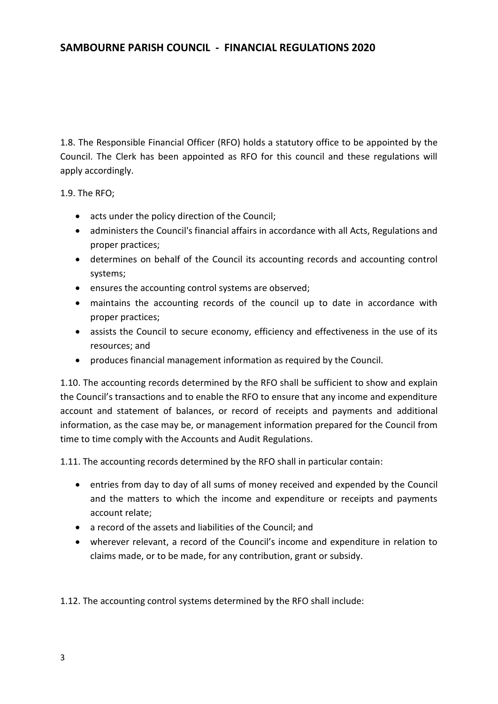1.8. The Responsible Financial Officer (RFO) holds a statutory office to be appointed by the Council. The Clerk has been appointed as RFO for this council and these regulations will apply accordingly.

1.9. The RFO;

- acts under the policy direction of the Council;
- administers the Council's financial affairs in accordance with all Acts, Regulations and proper practices;
- determines on behalf of the Council its accounting records and accounting control systems;
- ensures the accounting control systems are observed;
- maintains the accounting records of the council up to date in accordance with proper practices;
- assists the Council to secure economy, efficiency and effectiveness in the use of its resources; and
- produces financial management information as required by the Council.

1.10. The accounting records determined by the RFO shall be sufficient to show and explain the Council's transactions and to enable the RFO to ensure that any income and expenditure account and statement of balances, or record of receipts and payments and additional information, as the case may be, or management information prepared for the Council from time to time comply with the Accounts and Audit Regulations.

1.11. The accounting records determined by the RFO shall in particular contain:

- entries from day to day of all sums of money received and expended by the Council and the matters to which the income and expenditure or receipts and payments account relate;
- a record of the assets and liabilities of the Council; and
- wherever relevant, a record of the Council's income and expenditure in relation to claims made, or to be made, for any contribution, grant or subsidy.

1.12. The accounting control systems determined by the RFO shall include: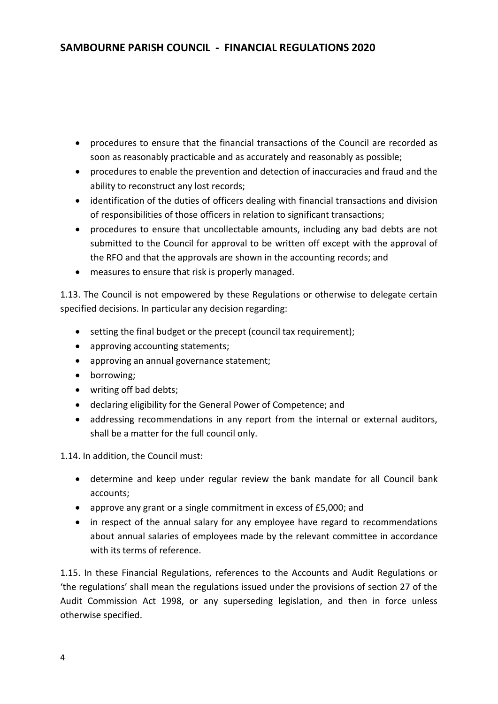- procedures to ensure that the financial transactions of the Council are recorded as soon as reasonably practicable and as accurately and reasonably as possible;
- procedures to enable the prevention and detection of inaccuracies and fraud and the ability to reconstruct any lost records;
- identification of the duties of officers dealing with financial transactions and division of responsibilities of those officers in relation to significant transactions;
- procedures to ensure that uncollectable amounts, including any bad debts are not submitted to the Council for approval to be written off except with the approval of the RFO and that the approvals are shown in the accounting records; and
- measures to ensure that risk is properly managed.

1.13. The Council is not empowered by these Regulations or otherwise to delegate certain specified decisions. In particular any decision regarding:

- setting the final budget or the precept (council tax requirement);
- approving accounting statements;
- approving an annual governance statement;
- borrowing;
- writing off bad debts;
- declaring eligibility for the General Power of Competence; and
- addressing recommendations in any report from the internal or external auditors, shall be a matter for the full council only.

1.14. In addition, the Council must:

- determine and keep under regular review the bank mandate for all Council bank accounts;
- approve any grant or a single commitment in excess of £5,000; and
- in respect of the annual salary for any employee have regard to recommendations about annual salaries of employees made by the relevant committee in accordance with its terms of reference.

1.15. In these Financial Regulations, references to the Accounts and Audit Regulations or 'the regulations' shall mean the regulations issued under the provisions of section 27 of the Audit Commission Act 1998, or any superseding legislation, and then in force unless otherwise specified.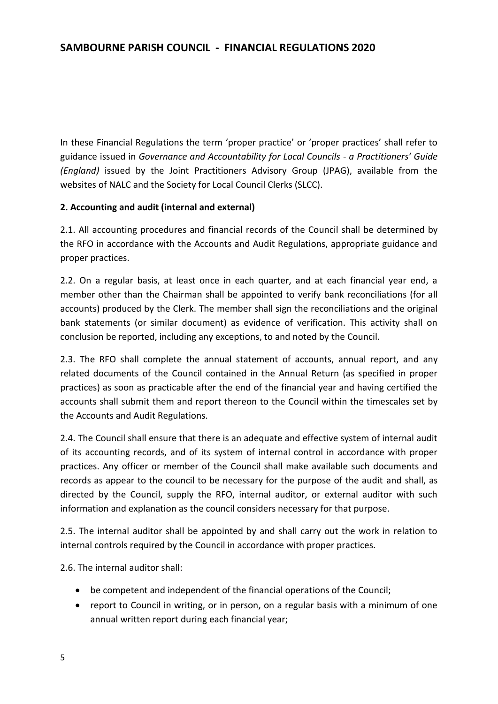In these Financial Regulations the term 'proper practice' or 'proper practices' shall refer to guidance issued in *Governance and Accountability for Local Councils - a Practitioners' Guide (England)* issued by the Joint Practitioners Advisory Group (JPAG), available from the websites of NALC and the Society for Local Council Clerks (SLCC).

### **2. Accounting and audit (internal and external)**

2.1. All accounting procedures and financial records of the Council shall be determined by the RFO in accordance with the Accounts and Audit Regulations, appropriate guidance and proper practices.

2.2. On a regular basis, at least once in each quarter, and at each financial year end, a member other than the Chairman shall be appointed to verify bank reconciliations (for all accounts) produced by the Clerk. The member shall sign the reconciliations and the original bank statements (or similar document) as evidence of verification. This activity shall on conclusion be reported, including any exceptions, to and noted by the Council.

2.3. The RFO shall complete the annual statement of accounts, annual report, and any related documents of the Council contained in the Annual Return (as specified in proper practices) as soon as practicable after the end of the financial year and having certified the accounts shall submit them and report thereon to the Council within the timescales set by the Accounts and Audit Regulations.

2.4. The Council shall ensure that there is an adequate and effective system of internal audit of its accounting records, and of its system of internal control in accordance with proper practices. Any officer or member of the Council shall make available such documents and records as appear to the council to be necessary for the purpose of the audit and shall, as directed by the Council, supply the RFO, internal auditor, or external auditor with such information and explanation as the council considers necessary for that purpose.

2.5. The internal auditor shall be appointed by and shall carry out the work in relation to internal controls required by the Council in accordance with proper practices.

2.6. The internal auditor shall:

- be competent and independent of the financial operations of the Council;
- report to Council in writing, or in person, on a regular basis with a minimum of one annual written report during each financial year;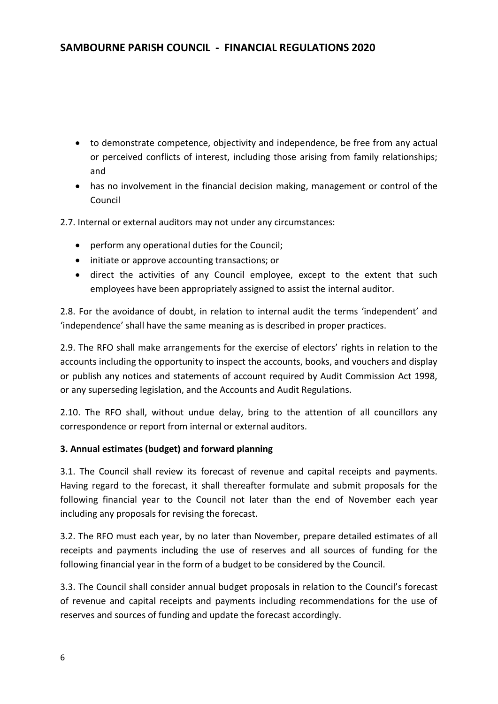- to demonstrate competence, objectivity and independence, be free from any actual or perceived conflicts of interest, including those arising from family relationships; and
- has no involvement in the financial decision making, management or control of the Council
- 2.7. Internal or external auditors may not under any circumstances:
	- perform any operational duties for the Council;
	- initiate or approve accounting transactions; or
	- direct the activities of any Council employee, except to the extent that such employees have been appropriately assigned to assist the internal auditor.

2.8. For the avoidance of doubt, in relation to internal audit the terms 'independent' and 'independence' shall have the same meaning as is described in proper practices.

2.9. The RFO shall make arrangements for the exercise of electors' rights in relation to the accounts including the opportunity to inspect the accounts, books, and vouchers and display or publish any notices and statements of account required by Audit Commission Act 1998, or any superseding legislation, and the Accounts and Audit Regulations.

2.10. The RFO shall, without undue delay, bring to the attention of all councillors any correspondence or report from internal or external auditors.

#### **3. Annual estimates (budget) and forward planning**

3.1. The Council shall review its forecast of revenue and capital receipts and payments. Having regard to the forecast, it shall thereafter formulate and submit proposals for the following financial year to the Council not later than the end of November each year including any proposals for revising the forecast.

3.2. The RFO must each year, by no later than November, prepare detailed estimates of all receipts and payments including the use of reserves and all sources of funding for the following financial year in the form of a budget to be considered by the Council.

3.3. The Council shall consider annual budget proposals in relation to the Council's forecast of revenue and capital receipts and payments including recommendations for the use of reserves and sources of funding and update the forecast accordingly.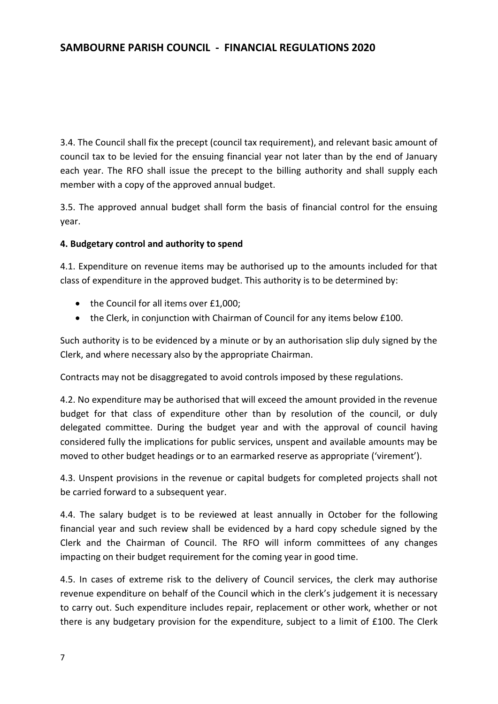3.4. The Council shall fix the precept (council tax requirement), and relevant basic amount of council tax to be levied for the ensuing financial year not later than by the end of January each year. The RFO shall issue the precept to the billing authority and shall supply each member with a copy of the approved annual budget.

3.5. The approved annual budget shall form the basis of financial control for the ensuing year.

#### **4. Budgetary control and authority to spend**

4.1. Expenditure on revenue items may be authorised up to the amounts included for that class of expenditure in the approved budget. This authority is to be determined by:

- the Council for all items over £1,000;
- the Clerk, in conjunction with Chairman of Council for any items below £100.

Such authority is to be evidenced by a minute or by an authorisation slip duly signed by the Clerk, and where necessary also by the appropriate Chairman.

Contracts may not be disaggregated to avoid controls imposed by these regulations.

4.2. No expenditure may be authorised that will exceed the amount provided in the revenue budget for that class of expenditure other than by resolution of the council, or duly delegated committee. During the budget year and with the approval of council having considered fully the implications for public services, unspent and available amounts may be moved to other budget headings or to an earmarked reserve as appropriate ('virement').

4.3. Unspent provisions in the revenue or capital budgets for completed projects shall not be carried forward to a subsequent year.

4.4. The salary budget is to be reviewed at least annually in October for the following financial year and such review shall be evidenced by a hard copy schedule signed by the Clerk and the Chairman of Council. The RFO will inform committees of any changes impacting on their budget requirement for the coming year in good time.

4.5. In cases of extreme risk to the delivery of Council services, the clerk may authorise revenue expenditure on behalf of the Council which in the clerk's judgement it is necessary to carry out. Such expenditure includes repair, replacement or other work, whether or not there is any budgetary provision for the expenditure, subject to a limit of £100. The Clerk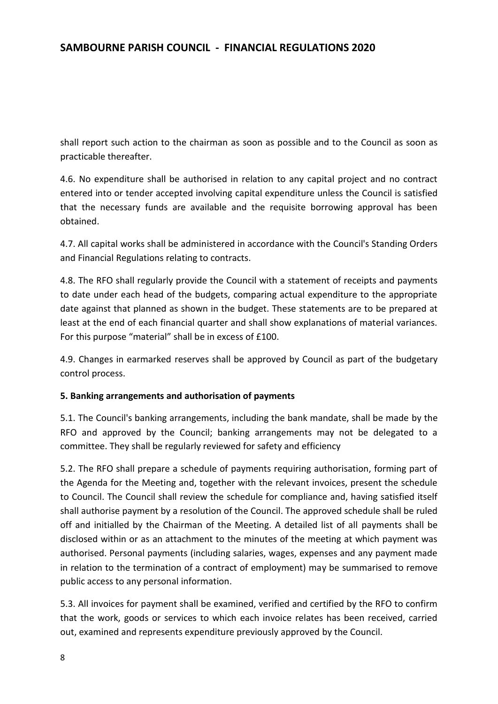shall report such action to the chairman as soon as possible and to the Council as soon as practicable thereafter.

4.6. No expenditure shall be authorised in relation to any capital project and no contract entered into or tender accepted involving capital expenditure unless the Council is satisfied that the necessary funds are available and the requisite borrowing approval has been obtained.

4.7. All capital works shall be administered in accordance with the Council's Standing Orders and Financial Regulations relating to contracts.

4.8. The RFO shall regularly provide the Council with a statement of receipts and payments to date under each head of the budgets, comparing actual expenditure to the appropriate date against that planned as shown in the budget. These statements are to be prepared at least at the end of each financial quarter and shall show explanations of material variances. For this purpose "material" shall be in excess of £100.

4.9. Changes in earmarked reserves shall be approved by Council as part of the budgetary control process.

### **5. Banking arrangements and authorisation of payments**

5.1. The Council's banking arrangements, including the bank mandate, shall be made by the RFO and approved by the Council; banking arrangements may not be delegated to a committee. They shall be regularly reviewed for safety and efficiency

5.2. The RFO shall prepare a schedule of payments requiring authorisation, forming part of the Agenda for the Meeting and, together with the relevant invoices, present the schedule to Council. The Council shall review the schedule for compliance and, having satisfied itself shall authorise payment by a resolution of the Council. The approved schedule shall be ruled off and initialled by the Chairman of the Meeting. A detailed list of all payments shall be disclosed within or as an attachment to the minutes of the meeting at which payment was authorised. Personal payments (including salaries, wages, expenses and any payment made in relation to the termination of a contract of employment) may be summarised to remove public access to any personal information.

5.3. All invoices for payment shall be examined, verified and certified by the RFO to confirm that the work, goods or services to which each invoice relates has been received, carried out, examined and represents expenditure previously approved by the Council.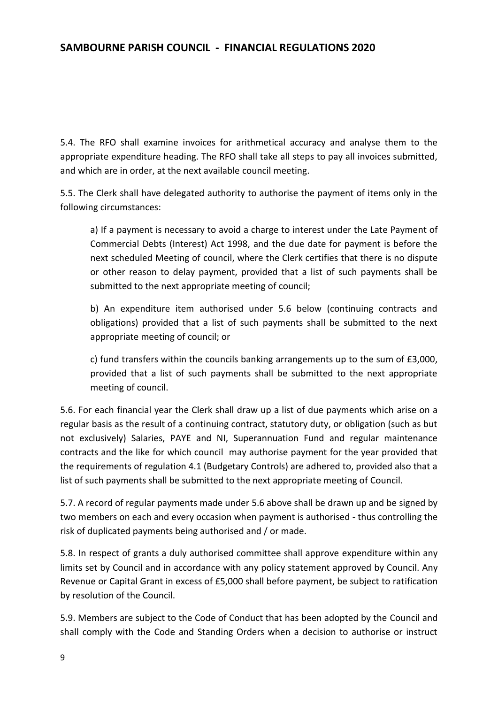5.4. The RFO shall examine invoices for arithmetical accuracy and analyse them to the appropriate expenditure heading. The RFO shall take all steps to pay all invoices submitted, and which are in order, at the next available council meeting.

5.5. The Clerk shall have delegated authority to authorise the payment of items only in the following circumstances:

a) If a payment is necessary to avoid a charge to interest under the Late Payment of Commercial Debts (Interest) Act 1998, and the due date for payment is before the next scheduled Meeting of council, where the Clerk certifies that there is no dispute or other reason to delay payment, provided that a list of such payments shall be submitted to the next appropriate meeting of council;

b) An expenditure item authorised under 5.6 below (continuing contracts and obligations) provided that a list of such payments shall be submitted to the next appropriate meeting of council; or

c) fund transfers within the councils banking arrangements up to the sum of £3,000, provided that a list of such payments shall be submitted to the next appropriate meeting of council.

5.6. For each financial year the Clerk shall draw up a list of due payments which arise on a regular basis as the result of a continuing contract, statutory duty, or obligation (such as but not exclusively) Salaries, PAYE and NI, Superannuation Fund and regular maintenance contracts and the like for which council may authorise payment for the year provided that the requirements of regulation 4.1 (Budgetary Controls) are adhered to, provided also that a list of such payments shall be submitted to the next appropriate meeting of Council.

5.7. A record of regular payments made under 5.6 above shall be drawn up and be signed by two members on each and every occasion when payment is authorised - thus controlling the risk of duplicated payments being authorised and / or made.

5.8. In respect of grants a duly authorised committee shall approve expenditure within any limits set by Council and in accordance with any policy statement approved by Council. Any Revenue or Capital Grant in excess of £5,000 shall before payment, be subject to ratification by resolution of the Council.

5.9. Members are subject to the Code of Conduct that has been adopted by the Council and shall comply with the Code and Standing Orders when a decision to authorise or instruct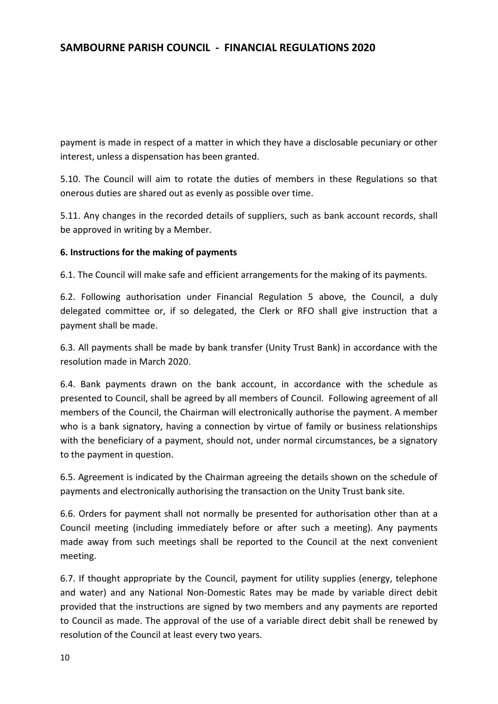payment is made in respect of a matter in which they have a disclosable pecuniary or other interest, unless a dispensation has been granted.

5.10. The Council will aim to rotate the duties of members in these Regulations so that onerous duties are shared out as evenly as possible over time.

5.11. Any changes in the recorded details of suppliers, such as bank account records, shall be approved in writing by a Member.

#### **6. Instructions for the making of payments**

6.1. The Council will make safe and efficient arrangements for the making of its payments.

6.2. Following authorisation under Financial Regulation 5 above, the Council, a duly delegated committee or, if so delegated, the Clerk or RFO shall give instruction that a payment shall be made.

6.3. All payments shall be made by bank transfer (Unity Trust Bank) in accordance with the resolution made in March 2020.

6.4. Bank payments drawn on the bank account, in accordance with the schedule as presented to Council, shall be agreed by all members of Council. Following agreement of all members of the Council, the Chairman will electronically authorise the payment. A member who is a bank signatory, having a connection by virtue of family or business relationships with the beneficiary of a payment, should not, under normal circumstances, be a signatory to the payment in question.

6.5. Agreement is indicated by the Chairman agreeing the details shown on the schedule of payments and electronically authorising the transaction on the Unity Trust bank site.

6.6. Orders for payment shall not normally be presented for authorisation other than at a Council meeting (including immediately before or after such a meeting). Any payments made away from such meetings shall be reported to the Council at the next convenient meeting.

6.7. If thought appropriate by the Council, payment for utility supplies (energy, telephone and water) and any National Non-Domestic Rates may be made by variable direct debit provided that the instructions are signed by two members and any payments are reported to Council as made. The approval of the use of a variable direct debit shall be renewed by resolution of the Council at least every two years.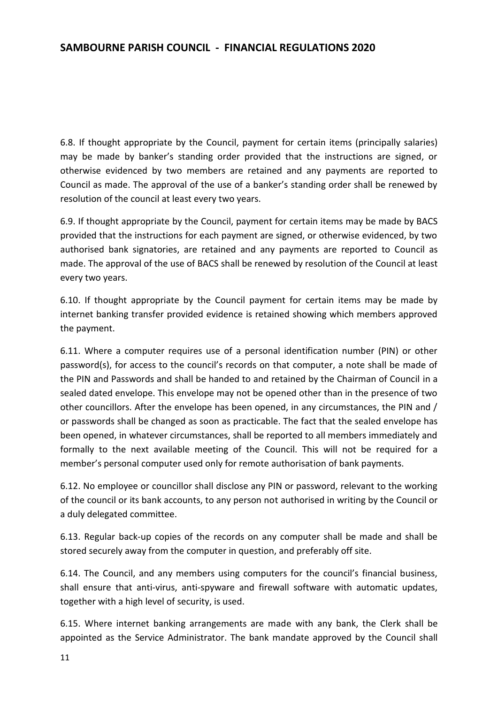6.8. If thought appropriate by the Council, payment for certain items (principally salaries) may be made by banker's standing order provided that the instructions are signed, or otherwise evidenced by two members are retained and any payments are reported to Council as made. The approval of the use of a banker's standing order shall be renewed by resolution of the council at least every two years.

6.9. If thought appropriate by the Council, payment for certain items may be made by BACS provided that the instructions for each payment are signed, or otherwise evidenced, by two authorised bank signatories, are retained and any payments are reported to Council as made. The approval of the use of BACS shall be renewed by resolution of the Council at least every two years.

6.10. If thought appropriate by the Council payment for certain items may be made by internet banking transfer provided evidence is retained showing which members approved the payment.

6.11. Where a computer requires use of a personal identification number (PIN) or other password(s), for access to the council's records on that computer, a note shall be made of the PIN and Passwords and shall be handed to and retained by the Chairman of Council in a sealed dated envelope. This envelope may not be opened other than in the presence of two other councillors. After the envelope has been opened, in any circumstances, the PIN and / or passwords shall be changed as soon as practicable. The fact that the sealed envelope has been opened, in whatever circumstances, shall be reported to all members immediately and formally to the next available meeting of the Council. This will not be required for a member's personal computer used only for remote authorisation of bank payments.

6.12. No employee or councillor shall disclose any PIN or password, relevant to the working of the council or its bank accounts, to any person not authorised in writing by the Council or a duly delegated committee.

6.13. Regular back-up copies of the records on any computer shall be made and shall be stored securely away from the computer in question, and preferably off site.

6.14. The Council, and any members using computers for the council's financial business, shall ensure that anti-virus, anti-spyware and firewall software with automatic updates, together with a high level of security, is used.

6.15. Where internet banking arrangements are made with any bank, the Clerk shall be appointed as the Service Administrator. The bank mandate approved by the Council shall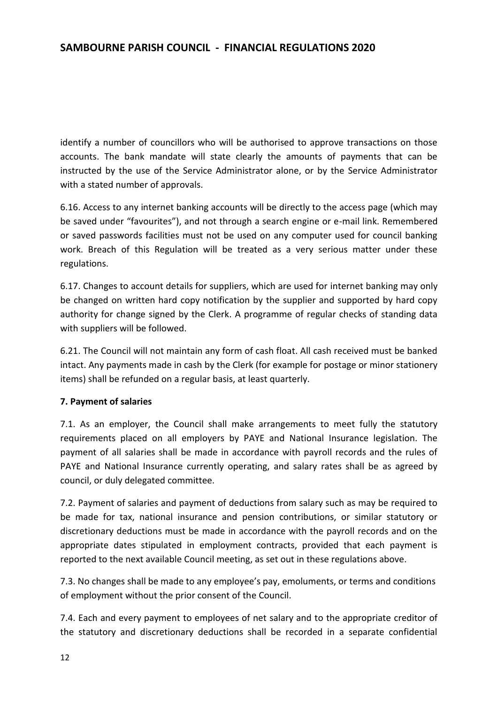identify a number of councillors who will be authorised to approve transactions on those accounts. The bank mandate will state clearly the amounts of payments that can be instructed by the use of the Service Administrator alone, or by the Service Administrator with a stated number of approvals.

6.16. Access to any internet banking accounts will be directly to the access page (which may be saved under "favourites"), and not through a search engine or e-mail link. Remembered or saved passwords facilities must not be used on any computer used for council banking work. Breach of this Regulation will be treated as a very serious matter under these regulations.

6.17. Changes to account details for suppliers, which are used for internet banking may only be changed on written hard copy notification by the supplier and supported by hard copy authority for change signed by the Clerk. A programme of regular checks of standing data with suppliers will be followed.

6.21. The Council will not maintain any form of cash float. All cash received must be banked intact. Any payments made in cash by the Clerk (for example for postage or minor stationery items) shall be refunded on a regular basis, at least quarterly.

### **7. Payment of salaries**

7.1. As an employer, the Council shall make arrangements to meet fully the statutory requirements placed on all employers by PAYE and National Insurance legislation. The payment of all salaries shall be made in accordance with payroll records and the rules of PAYE and National Insurance currently operating, and salary rates shall be as agreed by council, or duly delegated committee.

7.2. Payment of salaries and payment of deductions from salary such as may be required to be made for tax, national insurance and pension contributions, or similar statutory or discretionary deductions must be made in accordance with the payroll records and on the appropriate dates stipulated in employment contracts, provided that each payment is reported to the next available Council meeting, as set out in these regulations above.

7.3. No changes shall be made to any employee's pay, emoluments, or terms and conditions of employment without the prior consent of the Council.

7.4. Each and every payment to employees of net salary and to the appropriate creditor of the statutory and discretionary deductions shall be recorded in a separate confidential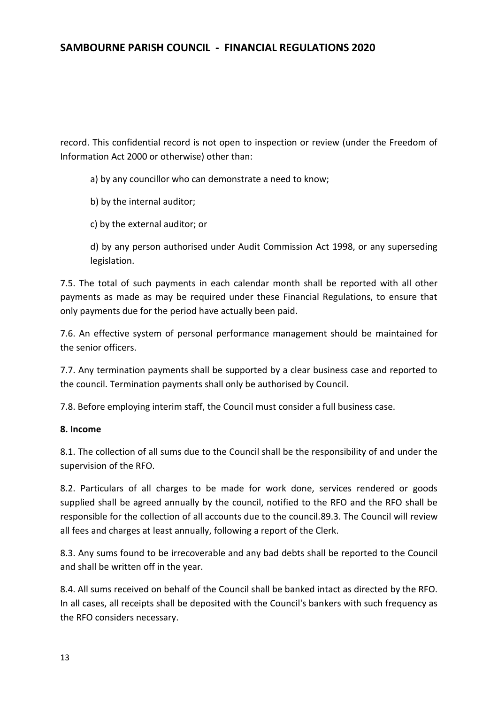record. This confidential record is not open to inspection or review (under the Freedom of Information Act 2000 or otherwise) other than:

a) by any councillor who can demonstrate a need to know;

- b) by the internal auditor;
- c) by the external auditor; or

d) by any person authorised under Audit Commission Act 1998, or any superseding legislation.

7.5. The total of such payments in each calendar month shall be reported with all other payments as made as may be required under these Financial Regulations, to ensure that only payments due for the period have actually been paid.

7.6. An effective system of personal performance management should be maintained for the senior officers.

7.7. Any termination payments shall be supported by a clear business case and reported to the council. Termination payments shall only be authorised by Council.

7.8. Before employing interim staff, the Council must consider a full business case.

#### **8. Income**

8.1. The collection of all sums due to the Council shall be the responsibility of and under the supervision of the RFO.

8.2. Particulars of all charges to be made for work done, services rendered or goods supplied shall be agreed annually by the council, notified to the RFO and the RFO shall be responsible for the collection of all accounts due to the council.89.3. The Council will review all fees and charges at least annually, following a report of the Clerk.

8.3. Any sums found to be irrecoverable and any bad debts shall be reported to the Council and shall be written off in the year.

8.4. All sums received on behalf of the Council shall be banked intact as directed by the RFO. In all cases, all receipts shall be deposited with the Council's bankers with such frequency as the RFO considers necessary.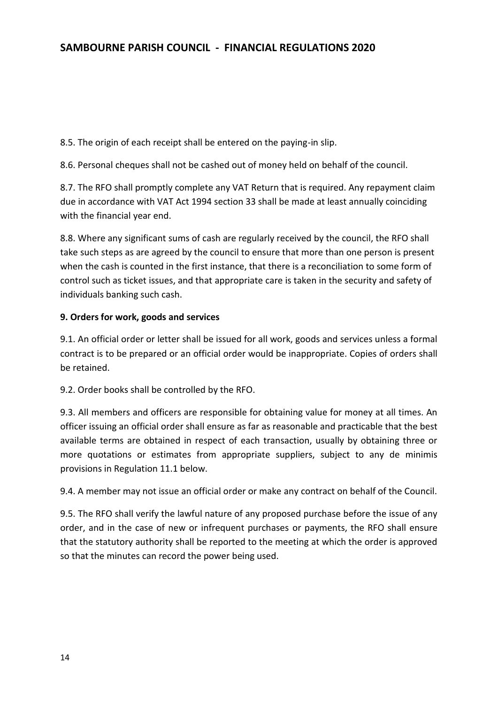8.5. The origin of each receipt shall be entered on the paying-in slip.

8.6. Personal cheques shall not be cashed out of money held on behalf of the council.

8.7. The RFO shall promptly complete any VAT Return that is required. Any repayment claim due in accordance with VAT Act 1994 section 33 shall be made at least annually coinciding with the financial year end.

8.8. Where any significant sums of cash are regularly received by the council, the RFO shall take such steps as are agreed by the council to ensure that more than one person is present when the cash is counted in the first instance, that there is a reconciliation to some form of control such as ticket issues, and that appropriate care is taken in the security and safety of individuals banking such cash.

#### **9. Orders for work, goods and services**

9.1. An official order or letter shall be issued for all work, goods and services unless a formal contract is to be prepared or an official order would be inappropriate. Copies of orders shall be retained.

9.2. Order books shall be controlled by the RFO.

9.3. All members and officers are responsible for obtaining value for money at all times. An officer issuing an official order shall ensure as far as reasonable and practicable that the best available terms are obtained in respect of each transaction, usually by obtaining three or more quotations or estimates from appropriate suppliers, subject to any de minimis provisions in Regulation 11.1 below.

9.4. A member may not issue an official order or make any contract on behalf of the Council.

9.5. The RFO shall verify the lawful nature of any proposed purchase before the issue of any order, and in the case of new or infrequent purchases or payments, the RFO shall ensure that the statutory authority shall be reported to the meeting at which the order is approved so that the minutes can record the power being used.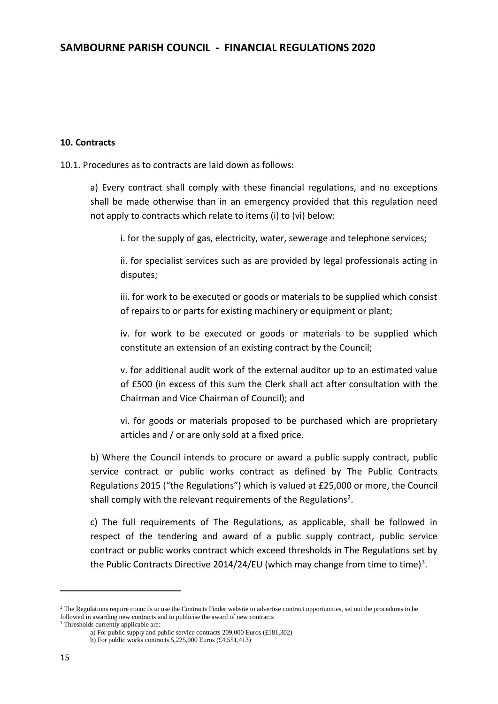#### **10. Contracts**

10.1. Procedures as to contracts are laid down as follows:

a) Every contract shall comply with these financial regulations, and no exceptions shall be made otherwise than in an emergency provided that this regulation need not apply to contracts which relate to items (i) to (vi) below:

i. for the supply of gas, electricity, water, sewerage and telephone services;

ii. for specialist services such as are provided by legal professionals acting in disputes;

iii. for work to be executed or goods or materials to be supplied which consist of repairs to or parts for existing machinery or equipment or plant;

iv. for work to be executed or goods or materials to be supplied which constitute an extension of an existing contract by the Council;

v. for additional audit work of the external auditor up to an estimated value of £500 (in excess of this sum the Clerk shall act after consultation with the Chairman and Vice Chairman of Council); and

vi. for goods or materials proposed to be purchased which are proprietary articles and / or are only sold at a fixed price.

b) Where the Council intends to procure or award a public supply contract, public service contract or public works contract as defined by The Public Contracts Regulations 2015 ("the Regulations") which is valued at £25,000 or more, the Council shall comply with the relevant requirements of the Regulations<sup>2</sup>.

c) The full requirements of The Regulations, as applicable, shall be followed in respect of the tendering and award of a public supply contract, public service contract or public works contract which exceed thresholds in The Regulations set by the Public Contracts Directive 2014/24/EU (which may change from time to time)<sup>3</sup>.

**.** 

<sup>&</sup>lt;sup>2</sup> The Regulations require councils to use the Contracts Finder website to advertise contract opportunities, set out the procedures to be followed in awarding new contracts and to publicise the award of new contracts

<sup>&</sup>lt;sup>3</sup> Thresholds currently applicable are:

a) For public supply and public service contracts 209,000 Euros (£181,302)

b) For public works contracts 5,225,000 Euros (£4,551,413)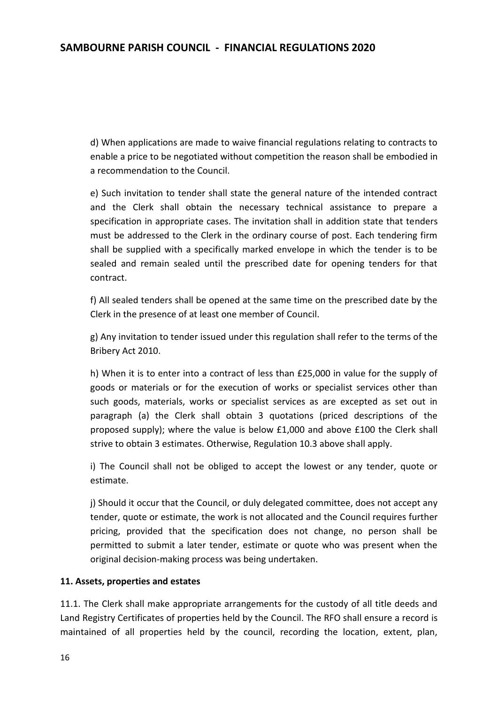d) When applications are made to waive financial regulations relating to contracts to enable a price to be negotiated without competition the reason shall be embodied in a recommendation to the Council.

e) Such invitation to tender shall state the general nature of the intended contract and the Clerk shall obtain the necessary technical assistance to prepare a specification in appropriate cases. The invitation shall in addition state that tenders must be addressed to the Clerk in the ordinary course of post. Each tendering firm shall be supplied with a specifically marked envelope in which the tender is to be sealed and remain sealed until the prescribed date for opening tenders for that contract.

f) All sealed tenders shall be opened at the same time on the prescribed date by the Clerk in the presence of at least one member of Council.

g) Any invitation to tender issued under this regulation shall refer to the terms of the Bribery Act 2010.

h) When it is to enter into a contract of less than £25,000 in value for the supply of goods or materials or for the execution of works or specialist services other than such goods, materials, works or specialist services as are excepted as set out in paragraph (a) the Clerk shall obtain 3 quotations (priced descriptions of the proposed supply); where the value is below £1,000 and above £100 the Clerk shall strive to obtain 3 estimates. Otherwise, Regulation 10.3 above shall apply.

i) The Council shall not be obliged to accept the lowest or any tender, quote or estimate.

j) Should it occur that the Council, or duly delegated committee, does not accept any tender, quote or estimate, the work is not allocated and the Council requires further pricing, provided that the specification does not change, no person shall be permitted to submit a later tender, estimate or quote who was present when the original decision-making process was being undertaken.

#### **11. Assets, properties and estates**

11.1. The Clerk shall make appropriate arrangements for the custody of all title deeds and Land Registry Certificates of properties held by the Council. The RFO shall ensure a record is maintained of all properties held by the council, recording the location, extent, plan,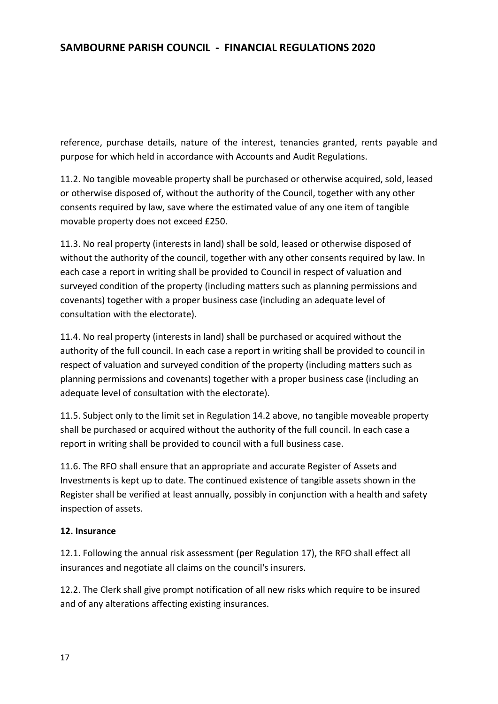reference, purchase details, nature of the interest, tenancies granted, rents payable and purpose for which held in accordance with Accounts and Audit Regulations.

11.2. No tangible moveable property shall be purchased or otherwise acquired, sold, leased or otherwise disposed of, without the authority of the Council, together with any other consents required by law, save where the estimated value of any one item of tangible movable property does not exceed £250.

11.3. No real property (interests in land) shall be sold, leased or otherwise disposed of without the authority of the council, together with any other consents required by law. In each case a report in writing shall be provided to Council in respect of valuation and surveyed condition of the property (including matters such as planning permissions and covenants) together with a proper business case (including an adequate level of consultation with the electorate).

11.4. No real property (interests in land) shall be purchased or acquired without the authority of the full council. In each case a report in writing shall be provided to council in respect of valuation and surveyed condition of the property (including matters such as planning permissions and covenants) together with a proper business case (including an adequate level of consultation with the electorate).

11.5. Subject only to the limit set in Regulation 14.2 above, no tangible moveable property shall be purchased or acquired without the authority of the full council. In each case a report in writing shall be provided to council with a full business case.

11.6. The RFO shall ensure that an appropriate and accurate Register of Assets and Investments is kept up to date. The continued existence of tangible assets shown in the Register shall be verified at least annually, possibly in conjunction with a health and safety inspection of assets.

### **12. Insurance**

12.1. Following the annual risk assessment (per Regulation 17), the RFO shall effect all insurances and negotiate all claims on the council's insurers.

12.2. The Clerk shall give prompt notification of all new risks which require to be insured and of any alterations affecting existing insurances.